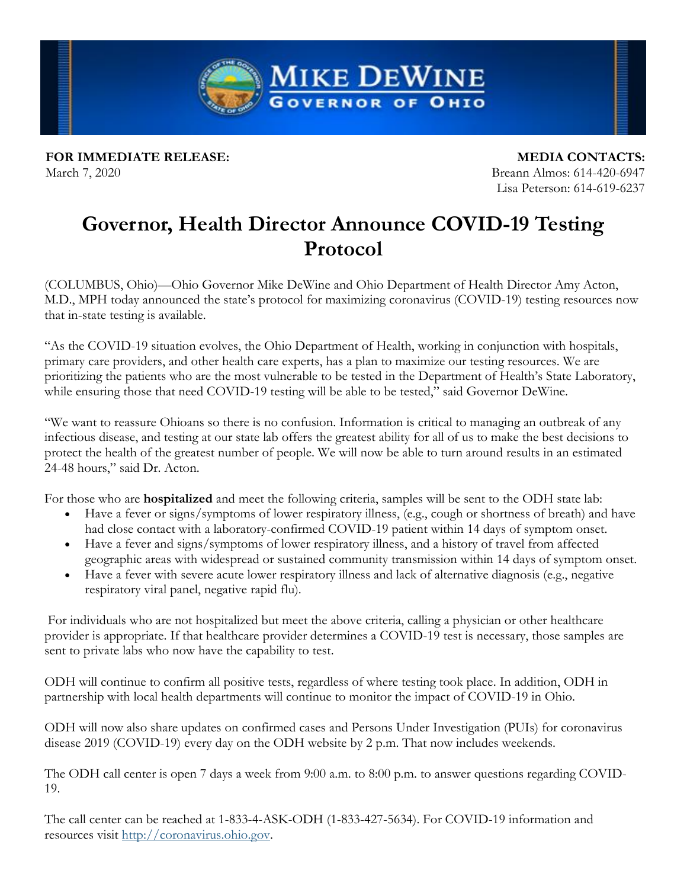**MIKE DEWINE GOVERNOR OF OHIO** 

**FOR IMMEDIATE RELEASE:** March 7, 2020

**MEDIA CONTACTS:** Breann Almos: 614-420-6947 Lisa Peterson: 614-619-6237

## **Governor, Health Director Announce COVID-19 Testing Protocol**

(COLUMBUS, Ohio)—Ohio Governor Mike DeWine and Ohio Department of Health Director Amy Acton, M.D., MPH today announced the state's protocol for maximizing coronavirus (COVID-19) testing resources now that in-state testing is available.

"As the COVID-19 situation evolves, the Ohio Department of Health, working in conjunction with hospitals, primary care providers, and other health care experts, has a plan to maximize our testing resources. We are prioritizing the patients who are the most vulnerable to be tested in the Department of Health's State Laboratory, while ensuring those that need COVID-19 testing will be able to be tested," said Governor DeWine.

"We want to reassure Ohioans so there is no confusion. Information is critical to managing an outbreak of any infectious disease, and testing at our state lab offers the greatest ability for all of us to make the best decisions to protect the health of the greatest number of people. We will now be able to turn around results in an estimated 24-48 hours," said Dr. Acton.

For those who are **hospitalized** and meet the following criteria, samples will be sent to the ODH state lab:

- Have a fever or signs/symptoms of lower respiratory illness, (e.g., cough or shortness of breath) and have had close contact with a laboratory-confirmed COVID-19 patient within 14 days of symptom onset.
- Have a fever and signs/symptoms of lower respiratory illness, and a history of travel from affected geographic areas with widespread or sustained community transmission within 14 days of symptom onset.
- Have a fever with severe acute lower respiratory illness and lack of alternative diagnosis (e.g., negative respiratory viral panel, negative rapid flu).

For individuals who are not hospitalized but meet the above criteria, calling a physician or other healthcare provider is appropriate. If that healthcare provider determines a COVID-19 test is necessary, those samples are sent to private labs who now have the capability to test.

ODH will continue to confirm all positive tests, regardless of where testing took place. In addition, ODH in partnership with local health departments will continue to monitor the impact of COVID-19 in Ohio.

ODH will now also share updates on confirmed cases and Persons Under Investigation (PUIs) for coronavirus disease 2019 (COVID-19) every day on the ODH website by 2 p.m. That now includes weekends.

The ODH call center is open 7 days a week from 9:00 a.m. to 8:00 p.m. to answer questions regarding COVID-19.

The call center can be reached at 1-833-4-ASK-ODH (1-833-427-5634). For COVID-19 information and resources visit [http://coronavirus.ohio.gov.](https://gcc01.safelinks.protection.outlook.com/?url=https%3A%2F%2Flnks.gd%2Fl%2FeyJhbGciOiJIUzI1NiJ9.eyJidWxsZXRpbl9saW5rX2lkIjoxMDEsInVyaSI6ImJwMjpjbGljayIsImJ1bGxldGluX2lkIjoiMjAyMDAzMDcuMTgzNjkwODEiLCJ1cmwiOiJodHRwOi8vY29yb25hdmlydXMub2hpby5nb3YifQ.GB9gk9Ku6-Lrp5SbNXp9jXA3I9d-p2tn_SIwi_uR2YQ%2Fbr%2F75857110893-l&data=02%7C01%7Carundi.venkayya%40odh.ohio.gov%7Cd31dd6c65faf44cf25c208d7c2d97688%7C50f8fcc494d84f0784eb36ed57c7c8a2%7C0%7C0%7C637192111564744668&sdata=lVmVHMEDgAim8tA5BhA3r0oQQY8aq8Glqnxn7fPkYps%3D&reserved=0)